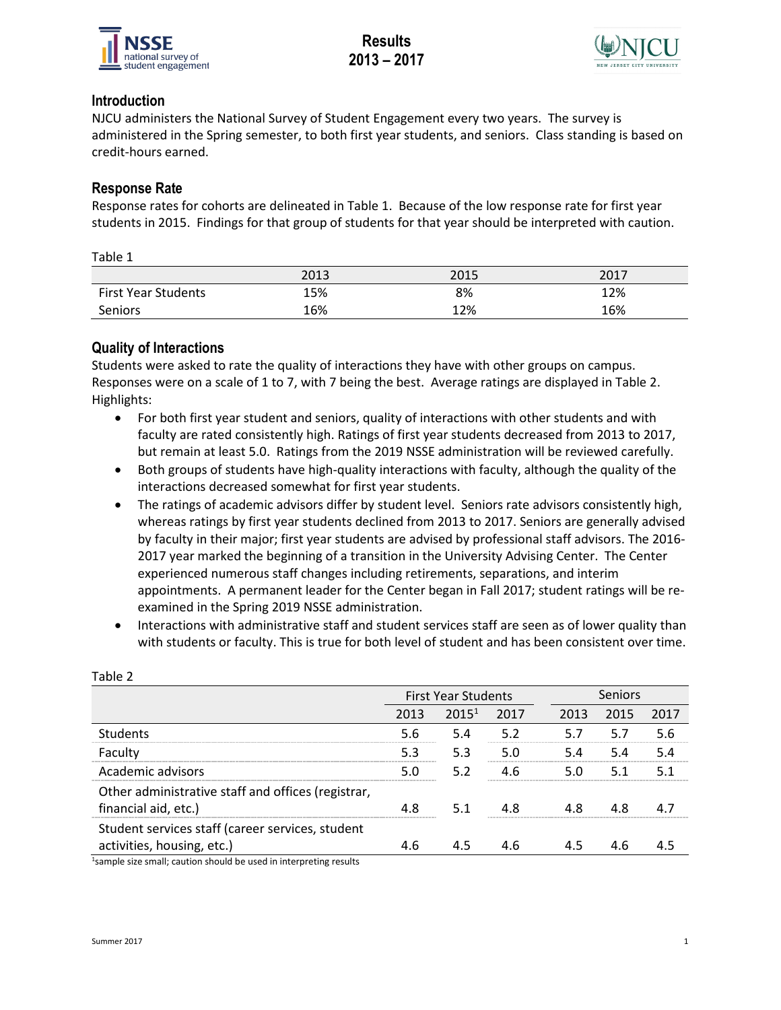



# **Introduction**

NJCU administers the National Survey of Student Engagement every two years. The survey is administered in the Spring semester, to both first year students, and seniors. Class standing is based on credit-hours earned.

# **Response Rate**

Response rates for cohorts are delineated in Table 1. Because of the low response rate for first year students in 2015. Findings for that group of students for that year should be interpreted with caution.

| ۹. |  |
|----|--|
|----|--|

|                            | 2013 | 2015 | 2017 |
|----------------------------|------|------|------|
| <b>First Year Students</b> | 15%  | 8%   | 12%  |
| Seniors                    | 16%  | 12%  | 16%  |

# **Quality of Interactions**

Students were asked to rate the quality of interactions they have with other groups on campus. Responses were on a scale of 1 to 7, with 7 being the best. Average ratings are displayed in Table 2. Highlights:

- For both first year student and seniors, quality of interactions with other students and with faculty are rated consistently high. Ratings of first year students decreased from 2013 to 2017, but remain at least 5.0. Ratings from the 2019 NSSE administration will be reviewed carefully.
- Both groups of students have high-quality interactions with faculty, although the quality of the interactions decreased somewhat for first year students.
- The ratings of academic advisors differ by student level. Seniors rate advisors consistently high, whereas ratings by first year students declined from 2013 to 2017. Seniors are generally advised by faculty in their major; first year students are advised by professional staff advisors. The 2016- 2017 year marked the beginning of a transition in the University Advising Center. The Center experienced numerous staff changes including retirements, separations, and interim appointments. A permanent leader for the Center began in Fall 2017; student ratings will be reexamined in the Spring 2019 NSSE administration.
- Interactions with administrative staff and student services staff are seen as of lower quality than with students or faculty. This is true for both level of student and has been consistent over time.

|                                                                                | <b>First Year Students</b> |                   |      |      | Seniors |      |  |  |
|--------------------------------------------------------------------------------|----------------------------|-------------------|------|------|---------|------|--|--|
|                                                                                | 2013                       | 2015 <sup>1</sup> | 2017 | 2013 | 2015    | 2017 |  |  |
| Students                                                                       | 5.6                        | 5.4               | 5.2  |      | 57      | 5.6  |  |  |
| Faculty                                                                        |                            | 5.3               |      |      |         | 54   |  |  |
| Academic advisors                                                              |                            | 52                | -6   |      |         |      |  |  |
| Other administrative staff and offices (registrar,<br>financial aid, etc.)     | 4 R                        | -5.1              |      |      |         |      |  |  |
| Student services staff (career services, student<br>activities, housing, etc.) |                            |                   |      |      |         |      |  |  |

Table 2

<sup>1</sup>sample size small; caution should be used in interpreting results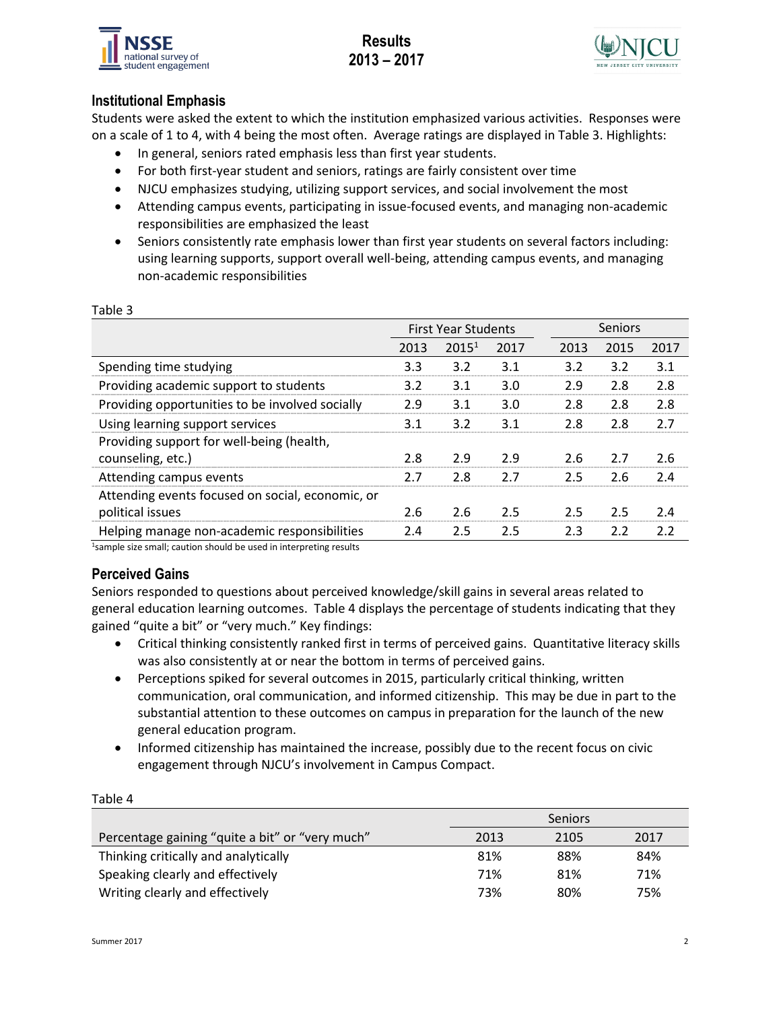

# **Results 2013 – 2017**



# **Institutional Emphasis**

Students were asked the extent to which the institution emphasized various activities. Responses were on a scale of 1 to 4, with 4 being the most often. Average ratings are displayed in Table 3. Highlights:

- In general, seniors rated emphasis less than first year students.
- For both first-year student and seniors, ratings are fairly consistent over time
- NJCU emphasizes studying, utilizing support services, and social involvement the most
- Attending campus events, participating in issue-focused events, and managing non-academic responsibilities are emphasized the least
- Seniors consistently rate emphasis lower than first year students on several factors including: using learning supports, support overall well-being, attending campus events, and managing non-academic responsibilities

|                                                                      | <b>First Year Students</b> |                   |      |      | Seniors |      |  |  |
|----------------------------------------------------------------------|----------------------------|-------------------|------|------|---------|------|--|--|
|                                                                      | 2013                       | 2015 <sup>1</sup> | 2017 | 2013 | 2015    | 2017 |  |  |
| Spending time studying                                               | 3.3                        | 3.2               | 3.1  | 3.2  | 3.2     | 3.1  |  |  |
| Providing academic support to students                               | 3.2                        | 3.1               | 3.0  | 2.9  | 2.8     | 2.8  |  |  |
| Providing opportunities to be involved socially                      | 2.9                        | 3.1               | 3.0  | 2.8  | 2.8     | 2.8  |  |  |
| Using learning support services                                      | 3.1                        | 3.2               | 3.1  | 2.8  | 2.8     | 2.7  |  |  |
| Providing support for well-being (health,<br>counseling, etc.)       | 2.8                        | 2.9               | 2.9  | 2.6  | 2.7     | 2.6  |  |  |
| Attending campus events                                              | 2.7                        | 2.8               | 2.7  | 2.5  | 2.6     | 2.4  |  |  |
| Attending events focused on social, economic, or<br>political issues | 2.6                        | 2.6               | 2.5  | 2.5  | 2.5     | 2.4  |  |  |
| Helping manage non-academic responsibilities                         | 2.4                        | 2.5               | 2.5  | 2.3  | 2.2     | 2.2  |  |  |

### Table 3

1sample size small; caution should be used in interpreting results

# **Perceived Gains**

Seniors responded to questions about perceived knowledge/skill gains in several areas related to general education learning outcomes. Table 4 displays the percentage of students indicating that they gained "quite a bit" or "very much." Key findings:

- Critical thinking consistently ranked first in terms of perceived gains. Quantitative literacy skills was also consistently at or near the bottom in terms of perceived gains.
- Perceptions spiked for several outcomes in 2015, particularly critical thinking, written communication, oral communication, and informed citizenship. This may be due in part to the substantial attention to these outcomes on campus in preparation for the launch of the new general education program.
- Informed citizenship has maintained the increase, possibly due to the recent focus on civic engagement through NJCU's involvement in Campus Compact.

| Table 4                                         |      |                |      |  |  |
|-------------------------------------------------|------|----------------|------|--|--|
|                                                 |      | <b>Seniors</b> |      |  |  |
| Percentage gaining "quite a bit" or "very much" | 2013 | 2105           | 2017 |  |  |
| Thinking critically and analytically            | 81%  | 88%            | 84%  |  |  |
| Speaking clearly and effectively                | 71%  | 81%            | 71%  |  |  |
| Writing clearly and effectively                 | 73%  | 80%            | 75%  |  |  |